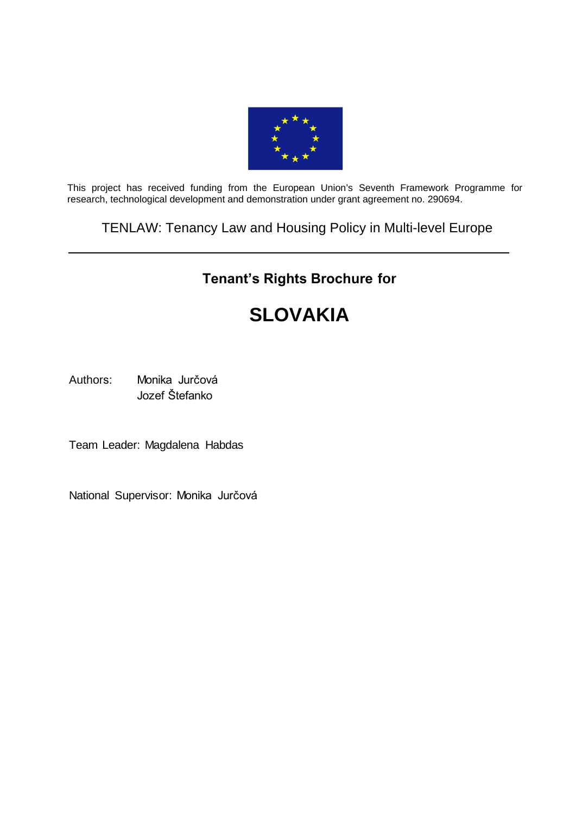

This project has received funding from the European Union's Seventh Framework Programme for research, technological development and demonstration under grant agreement no. 290694.

# TENLAW: Tenancy Law and Housing Policy in Multi-level Europe

# **Tenant's Rights Brochure for**

# **SLOVAKIA**

Authors: Monika Jurčová Jozef Štefanko

Team Leader: Magdalena Habdas

National Supervisor: Monika Jurčová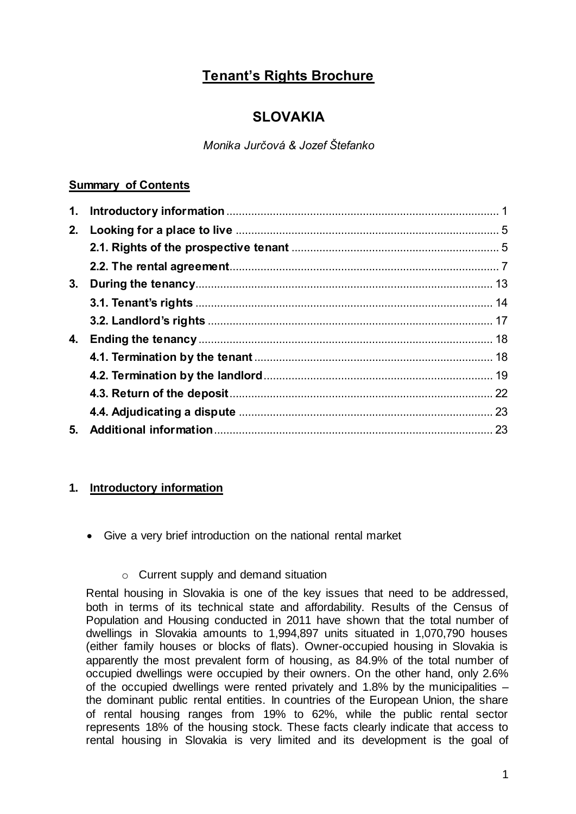# **Tenant's Rights Brochure**

# **SLOVAKIA**

*Monika Jurčová & Jozef Štefanko*

## **Summary of Contents**

| 1. |  |
|----|--|
| 2. |  |
|    |  |
|    |  |
| 3. |  |
|    |  |
|    |  |
| 4. |  |
|    |  |
|    |  |
|    |  |
|    |  |
| 5. |  |
|    |  |

# <span id="page-1-0"></span>**1. Introductory information**

Give a very brief introduction on the national rental market

## o Current supply and demand situation

Rental housing in Slovakia is one of the key issues that need to be addressed, both in terms of its technical state and affordability. Results of the Census of Population and Housing conducted in 2011 have shown that the total number of dwellings in Slovakia amounts to 1,994,897 units situated in 1,070,790 houses (either family houses or blocks of flats). Owner-occupied housing in Slovakia is apparently the most prevalent form of housing, as 84.9% of the total number of occupied dwellings were occupied by their owners. On the other hand, only 2.6% of the occupied dwellings were rented privately and 1.8% by the municipalities – the dominant public rental entities. In countries of the European Union, the share of rental housing ranges from 19% to 62%, while the public rental sector represents 18% of the housing stock. These facts clearly indicate that access to rental housing in Slovakia is very limited and its development is the goal of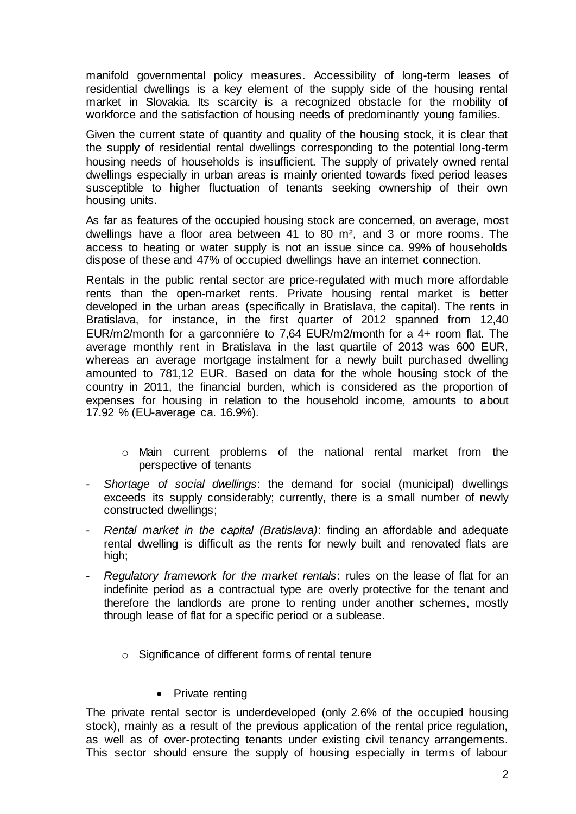manifold governmental policy measures. Accessibility of long-term leases of residential dwellings is a key element of the supply side of the housing rental market in Slovakia. Its scarcity is a recognized obstacle for the mobility of workforce and the satisfaction of housing needs of predominantly young families.

Given the current state of quantity and quality of the housing stock, it is clear that the supply of residential rental dwellings corresponding to the potential long-term housing needs of households is insufficient. The supply of privately owned rental dwellings especially in urban areas is mainly oriented towards fixed period leases susceptible to higher fluctuation of tenants seeking ownership of their own housing units.

As far as features of the occupied housing stock are concerned, on average, most dwellings have a floor area between 41 to 80 m², and 3 or more rooms. The access to heating or water supply is not an issue since ca. 99% of households dispose of these and 47% of occupied dwellings have an internet connection.

Rentals in the public rental sector are price-regulated with much more affordable rents than the open-market rents. Private housing rental market is better developed in the urban areas (specifically in Bratislava, the capital). The rents in Bratislava, for instance, in the first quarter of 2012 spanned from 12,40 EUR/m2/month for a garconniére to 7,64 EUR/m2/month for a 4+ room flat. The average monthly rent in Bratislava in the last quartile of 2013 was 600 EUR, whereas an average mortgage instalment for a newly built purchased dwelling amounted to 781,12 EUR. Based on data for the whole housing stock of the country in 2011, the financial burden, which is considered as the proportion of expenses for housing in relation to the household income, amounts to about 17.92 % (EU-average ca. 16.9%).

- o Main current problems of the national rental market from the perspective of tenants
- *Shortage of social dwellings*: the demand for social (municipal) dwellings exceeds its supply considerably; currently, there is a small number of newly constructed dwellings;
- *Rental market in the capital (Bratislava)*: finding an affordable and adequate rental dwelling is difficult as the rents for newly built and renovated flats are high;
- *Regulatory framework for the market rentals*: rules on the lease of flat for an indefinite period as a contractual type are overly protective for the tenant and therefore the landlords are prone to renting under another schemes, mostly through lease of flat for a specific period or a sublease.
	- o Significance of different forms of rental tenure

#### • Private renting

The private rental sector is underdeveloped (only 2.6% of the occupied housing stock), mainly as a result of the previous application of the rental price regulation, as well as of over-protecting tenants under existing civil tenancy arrangements. This sector should ensure the supply of housing especially in terms of labour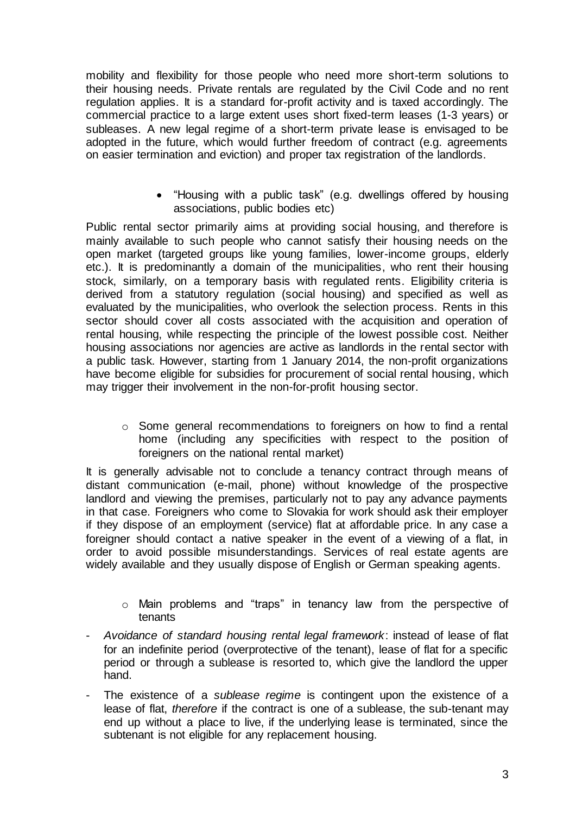mobility and flexibility for those people who need more short-term solutions to their housing needs. Private rentals are regulated by the Civil Code and no rent regulation applies. It is a standard for-profit activity and is taxed accordingly. The commercial practice to a large extent uses short fixed-term leases (1-3 years) or subleases. A new legal regime of a short-term private lease is envisaged to be adopted in the future, which would further freedom of contract (e.g. agreements on easier termination and eviction) and proper tax registration of the landlords.

> "Housing with a public task" (e.g. dwellings offered by housing associations, public bodies etc)

Public rental sector primarily aims at providing social housing, and therefore is mainly available to such people who cannot satisfy their housing needs on the open market (targeted groups like young families, lower-income groups, elderly etc.). It is predominantly a domain of the municipalities, who rent their housing stock, similarly, on a temporary basis with regulated rents. Eligibility criteria is derived from a statutory regulation (social housing) and specified as well as evaluated by the municipalities, who overlook the selection process. Rents in this sector should cover all costs associated with the acquisition and operation of rental housing, while respecting the principle of the lowest possible cost. Neither housing associations nor agencies are active as landlords in the rental sector with a public task. However, starting from 1 January 2014, the non-profit organizations have become eligible for subsidies for procurement of social rental housing, which may trigger their involvement in the non-for-profit housing sector.

 $\circ$  Some general recommendations to foreigners on how to find a rental home (including any specificities with respect to the position of foreigners on the national rental market)

It is generally advisable not to conclude a tenancy contract through means of distant communication (e-mail, phone) without knowledge of the prospective landlord and viewing the premises, particularly not to pay any advance payments in that case. Foreigners who come to Slovakia for work should ask their employer if they dispose of an employment (service) flat at affordable price. In any case a foreigner should contact a native speaker in the event of a viewing of a flat, in order to avoid possible misunderstandings. Services of real estate agents are widely available and they usually dispose of English or German speaking agents.

- o Main problems and "traps" in tenancy law from the perspective of tenants
- *Avoidance of standard housing rental legal framework*: instead of lease of flat for an indefinite period (overprotective of the tenant), lease of flat for a specific period or through a sublease is resorted to, which give the landlord the upper hand.
- The existence of a *sublease regime* is contingent upon the existence of a lease of flat, *therefore* if the contract is one of a sublease, the sub-tenant may end up without a place to live, if the underlying lease is terminated, since the subtenant is not eligible for any replacement housing.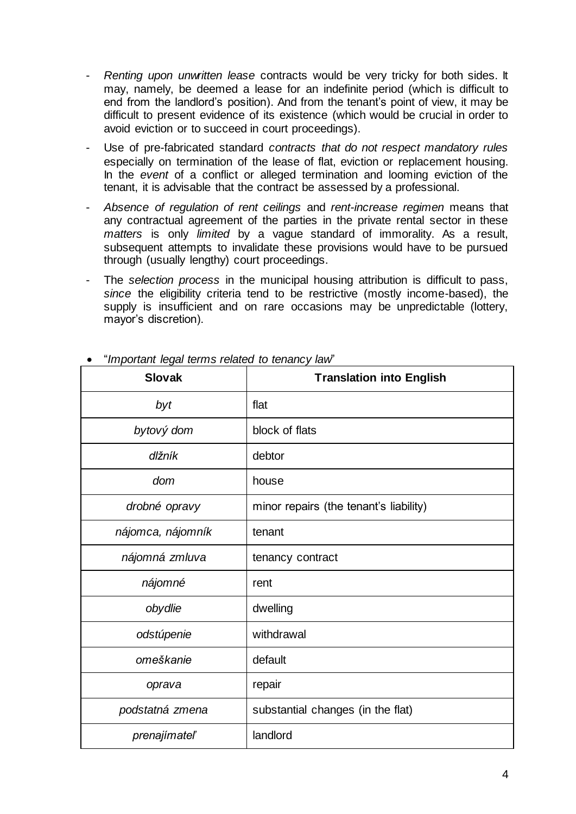- *Renting upon unwritten lease* contracts would be very tricky for both sides. It may, namely, be deemed a lease for an indefinite period (which is difficult to end from the landlord's position). And from the tenant's point of view, it may be difficult to present evidence of its existence (which would be crucial in order to avoid eviction or to succeed in court proceedings).
- Use of pre-fabricated standard *contracts that do not respect mandatory rules* especially on termination of the lease of flat, eviction or replacement housing. In the *event* of a conflict or alleged termination and looming eviction of the tenant, it is advisable that the contract be assessed by a professional.
- *Absence of regulation of rent ceilings* and *rent-increase regimen* means that any contractual agreement of the parties in the private rental sector in these *matters* is only *limited* by a vague standard of immorality. As a result, subsequent attempts to invalidate these provisions would have to be pursued through (usually lengthy) court proceedings.
- The *selection process* in the municipal housing attribution is difficult to pass, *since* the eligibility criteria tend to be restrictive (mostly income-based), the supply is insufficient and on rare occasions may be unpredictable (lottery, mayor's discretion).

| <b>Slovak</b>     | <b>Translation into English</b>        |
|-------------------|----------------------------------------|
| byt               | flat                                   |
| bytový dom        | block of flats                         |
| dlžník            | debtor                                 |
| dom               | house                                  |
| drobné opravy     | minor repairs (the tenant's liability) |
| nájomca, nájomník | tenant                                 |
| nájomná zmluva    | tenancy contract                       |
| nájomné           | rent                                   |
| obydlie           | dwelling                               |
| odstúpenie        | withdrawal                             |
| omeškanie         | default                                |
| oprava            | repair                                 |
| podstatná zmena   | substantial changes (in the flat)      |
| prenajímateľ      | landlord                               |

"*Important legal terms related to tenancy law*"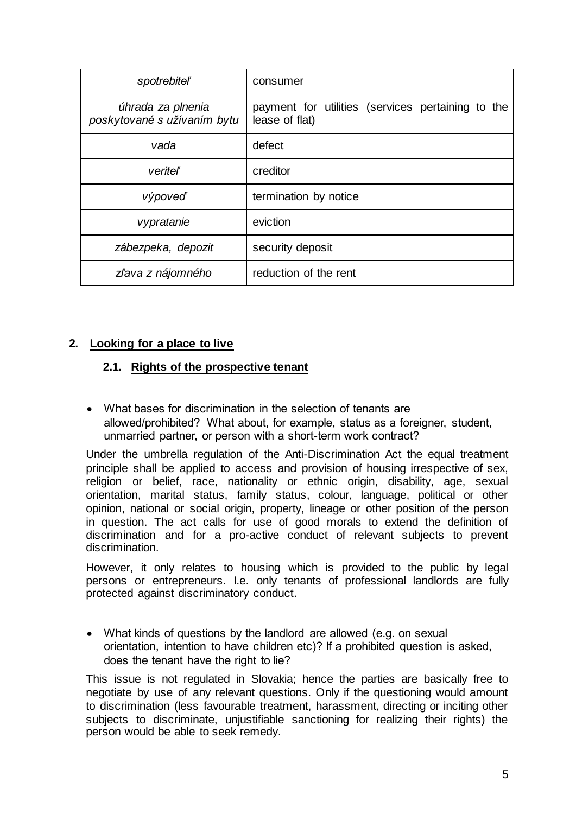| <i>spotrebiteľ</i>                               | consumer                                                            |
|--------------------------------------------------|---------------------------------------------------------------------|
| úhrada za plnenia<br>poskytované s užívaním bytu | payment for utilities (services pertaining to the<br>lease of flat) |
| vada                                             | defect                                                              |
| veriteľ                                          | creditor                                                            |
| výpoveď                                          | termination by notice                                               |
| vypratanie                                       | eviction                                                            |
| zábezpeka, depozit                               | security deposit                                                    |
| zľava z nájomného                                | reduction of the rent                                               |

#### <span id="page-5-1"></span><span id="page-5-0"></span>**2. Looking for a place to live**

#### **2.1. Rights of the prospective tenant**

 What bases for discrimination in the selection of tenants are allowed/prohibited? What about, for example, status as a foreigner, student, unmarried partner, or person with a short-term work contract?

Under the umbrella regulation of the Anti-Discrimination Act the equal treatment principle shall be applied to access and provision of housing irrespective of sex, religion or belief, race, nationality or ethnic origin, disability, age, sexual orientation, marital status, family status, colour, language, political or other opinion, national or social origin, property, lineage or other position of the person in question. The act calls for use of good morals to extend the definition of discrimination and for a pro-active conduct of relevant subjects to prevent discrimination.

However, it only relates to housing which is provided to the public by legal persons or entrepreneurs. I.e. only tenants of professional landlords are fully protected against discriminatory conduct.

 What kinds of questions by the landlord are allowed (e.g. on sexual orientation, intention to have children etc)? If a prohibited question is asked, does the tenant have the right to lie?

This issue is not regulated in Slovakia; hence the parties are basically free to negotiate by use of any relevant questions. Only if the questioning would amount to discrimination (less favourable treatment, harassment, directing or inciting other subjects to discriminate, unjustifiable sanctioning for realizing their rights) the person would be able to seek remedy.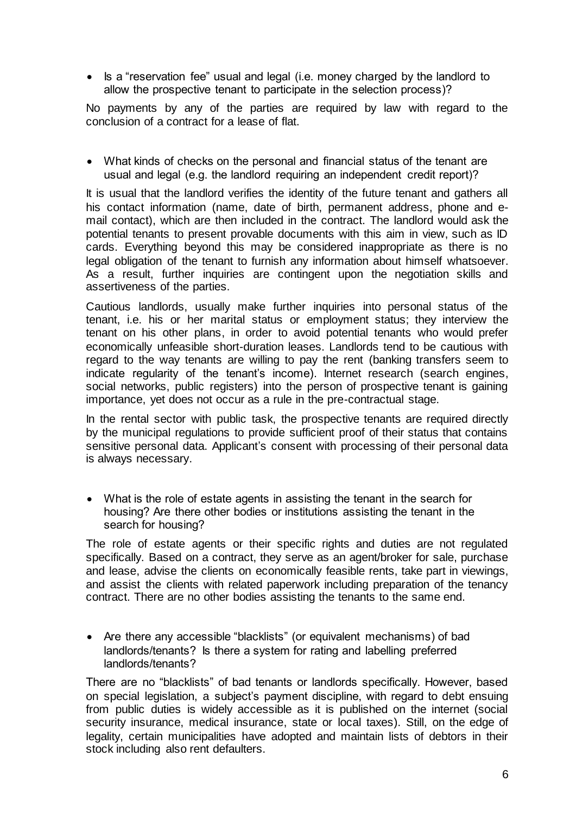• Is a "reservation fee" usual and legal (i.e. money charged by the landlord to allow the prospective tenant to participate in the selection process)?

No payments by any of the parties are required by law with regard to the conclusion of a contract for a lease of flat.

 What kinds of checks on the personal and financial status of the tenant are usual and legal (e.g. the landlord requiring an independent credit report)?

It is usual that the landlord verifies the identity of the future tenant and gathers all his contact information (name, date of birth, permanent address, phone and email contact), which are then included in the contract. The landlord would ask the potential tenants to present provable documents with this aim in view, such as ID cards. Everything beyond this may be considered inappropriate as there is no legal obligation of the tenant to furnish any information about himself whatsoever. As a result, further inquiries are contingent upon the negotiation skills and assertiveness of the parties.

Cautious landlords, usually make further inquiries into personal status of the tenant, i.e. his or her marital status or employment status; they interview the tenant on his other plans, in order to avoid potential tenants who would prefer economically unfeasible short-duration leases. Landlords tend to be cautious with regard to the way tenants are willing to pay the rent (banking transfers seem to indicate regularity of the tenant's income). Internet research (search engines, social networks, public registers) into the person of prospective tenant is gaining importance, yet does not occur as a rule in the pre-contractual stage.

In the rental sector with public task, the prospective tenants are required directly by the municipal regulations to provide sufficient proof of their status that contains sensitive personal data. Applicant's consent with processing of their personal data is always necessary.

 What is the role of estate agents in assisting the tenant in the search for housing? Are there other bodies or institutions assisting the tenant in the search for housing?

The role of estate agents or their specific rights and duties are not regulated specifically. Based on a contract, they serve as an agent/broker for sale, purchase and lease, advise the clients on economically feasible rents, take part in viewings, and assist the clients with related paperwork including preparation of the tenancy contract. There are no other bodies assisting the tenants to the same end.

 Are there any accessible "blacklists" (or equivalent mechanisms) of bad landlords/tenants? Is there a system for rating and labelling preferred landlords/tenants?

There are no "blacklists" of bad tenants or landlords specifically. However, based on special legislation, a subject's payment discipline, with regard to debt ensuing from public duties is widely accessible as it is published on the internet (social security insurance, medical insurance, state or local taxes). Still, on the edge of legality, certain municipalities have adopted and maintain lists of debtors in their stock including also rent defaulters.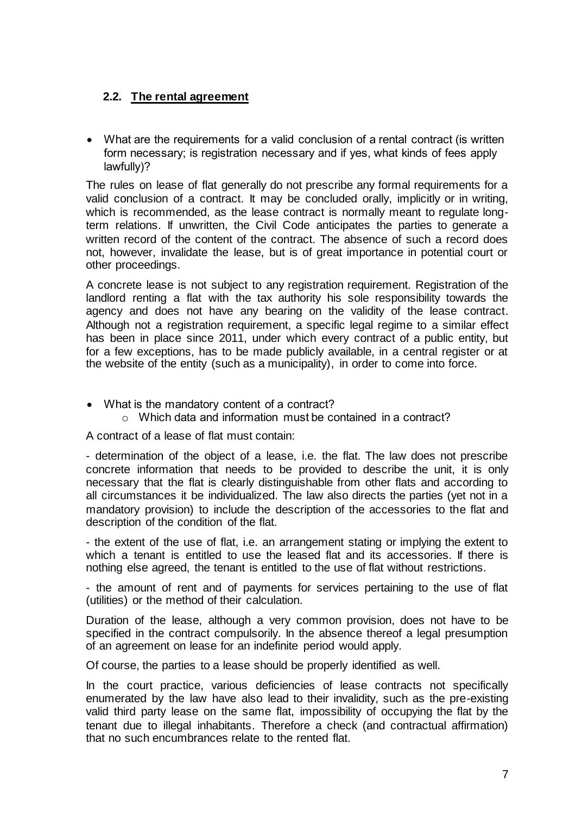## <span id="page-7-0"></span>**2.2. The rental agreement**

 What are the requirements for a valid conclusion of a rental contract (is written form necessary; is registration necessary and if yes, what kinds of fees apply lawfully)?

The rules on lease of flat generally do not prescribe any formal requirements for a valid conclusion of a contract. It may be concluded orally, implicitly or in writing, which is recommended, as the lease contract is normally meant to regulate longterm relations. If unwritten, the Civil Code anticipates the parties to generate a written record of the content of the contract. The absence of such a record does not, however, invalidate the lease, but is of great importance in potential court or other proceedings.

A concrete lease is not subject to any registration requirement. Registration of the landlord renting a flat with the tax authority his sole responsibility towards the agency and does not have any bearing on the validity of the lease contract. Although not a registration requirement, a specific legal regime to a similar effect has been in place since 2011, under which every contract of a public entity, but for a few exceptions, has to be made publicly available, in a central register or at the website of the entity (such as a municipality), in order to come into force.

- What is the mandatory content of a contract?
	- o Which data and information must be contained in a contract?

A contract of a lease of flat must contain:

- determination of the object of a lease, i.e. the flat. The law does not prescribe concrete information that needs to be provided to describe the unit, it is only necessary that the flat is clearly distinguishable from other flats and according to all circumstances it be individualized. The law also directs the parties (yet not in a mandatory provision) to include the description of the accessories to the flat and description of the condition of the flat.

- the extent of the use of flat, i.e. an arrangement stating or implying the extent to which a tenant is entitled to use the leased flat and its accessories. If there is nothing else agreed, the tenant is entitled to the use of flat without restrictions.

- the amount of rent and of payments for services pertaining to the use of flat (utilities) or the method of their calculation.

Duration of the lease, although a very common provision, does not have to be specified in the contract compulsorily. In the absence thereof a legal presumption of an agreement on lease for an indefinite period would apply.

Of course, the parties to a lease should be properly identified as well.

In the court practice, various deficiencies of lease contracts not specifically enumerated by the law have also lead to their invalidity, such as the pre-existing valid third party lease on the same flat, impossibility of occupying the flat by the tenant due to illegal inhabitants. Therefore a check (and contractual affirmation) that no such encumbrances relate to the rented flat.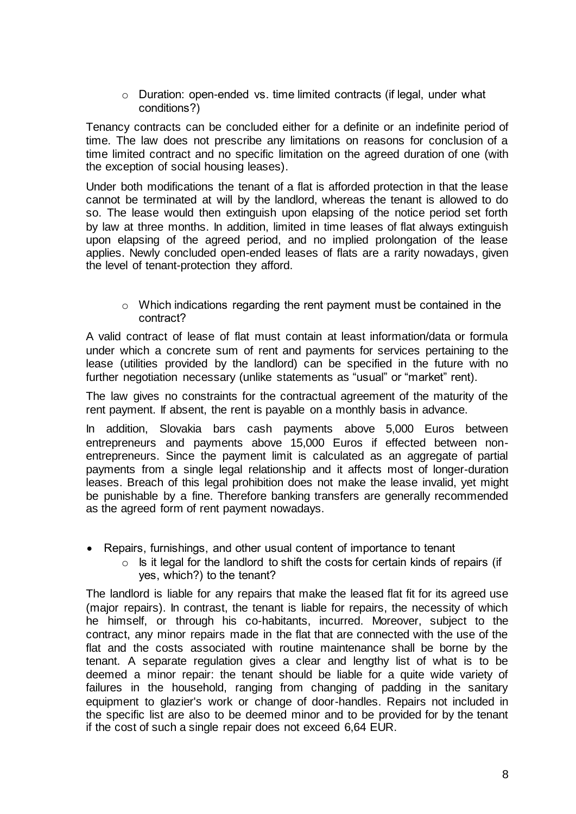o Duration: open-ended vs. time limited contracts (if legal, under what conditions?)

Tenancy contracts can be concluded either for a definite or an indefinite period of time. The law does not prescribe any limitations on reasons for conclusion of a time limited contract and no specific limitation on the agreed duration of one (with the exception of social housing leases).

Under both modifications the tenant of a flat is afforded protection in that the lease cannot be terminated at will by the landlord, whereas the tenant is allowed to do so. The lease would then extinguish upon elapsing of the notice period set forth by law at three months. In addition, limited in time leases of flat always extinguish upon elapsing of the agreed period, and no implied prolongation of the lease applies. Newly concluded open-ended leases of flats are a rarity nowadays, given the level of tenant-protection they afford.

o Which indications regarding the rent payment must be contained in the contract?

A valid contract of lease of flat must contain at least information/data or formula under which a concrete sum of rent and payments for services pertaining to the lease (utilities provided by the landlord) can be specified in the future with no further negotiation necessary (unlike statements as "usual" or "market" rent).

The law gives no constraints for the contractual agreement of the maturity of the rent payment. If absent, the rent is payable on a monthly basis in advance.

In addition, Slovakia bars cash payments above 5,000 Euros between entrepreneurs and payments above 15,000 Euros if effected between nonentrepreneurs. Since the payment limit is calculated as an aggregate of partial payments from a single legal relationship and it affects most of longer-duration leases. Breach of this legal prohibition does not make the lease invalid, yet might be punishable by a fine. Therefore banking transfers are generally recommended as the agreed form of rent payment nowadays.

- Repairs, furnishings, and other usual content of importance to tenant
	- $\circ$  Is it legal for the landlord to shift the costs for certain kinds of repairs (if yes, which?) to the tenant?

The landlord is liable for any repairs that make the leased flat fit for its agreed use (major repairs). In contrast, the tenant is liable for repairs, the necessity of which he himself, or through his co-habitants, incurred. Moreover, subject to the contract, any minor repairs made in the flat that are connected with the use of the flat and the costs associated with routine maintenance shall be borne by the tenant. A separate regulation gives a clear and lengthy list of what is to be deemed a minor repair: the tenant should be liable for a quite wide variety of failures in the household, ranging from changing of padding in the sanitary equipment to glazier's work or change of door-handles. Repairs not included in the specific list are also to be deemed minor and to be provided for by the tenant if the cost of such a single repair does not exceed 6,64 EUR.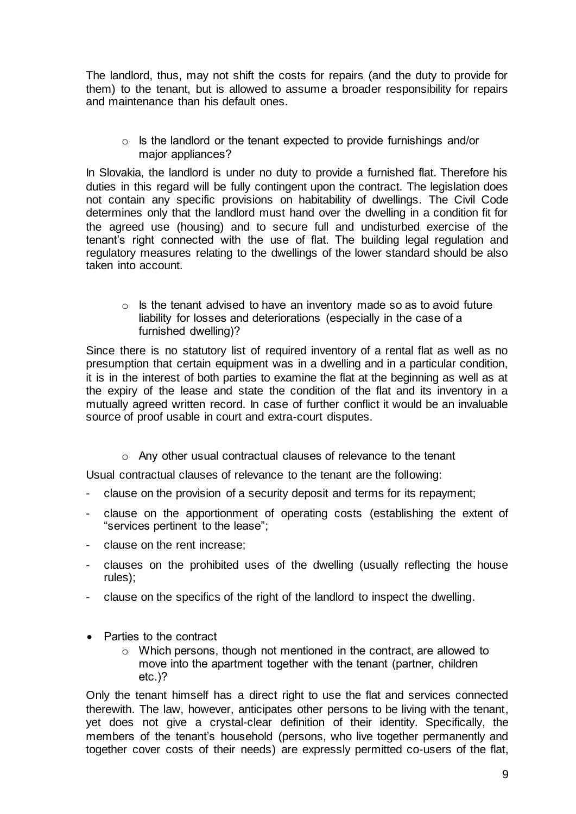The landlord, thus, may not shift the costs for repairs (and the duty to provide for them) to the tenant, but is allowed to assume a broader responsibility for repairs and maintenance than his default ones.

o Is the landlord or the tenant expected to provide furnishings and/or major appliances?

In Slovakia, the landlord is under no duty to provide a furnished flat. Therefore his duties in this regard will be fully contingent upon the contract. The legislation does not contain any specific provisions on habitability of dwellings. The Civil Code determines only that the landlord must hand over the dwelling in a condition fit for the agreed use (housing) and to secure full and undisturbed exercise of the tenant's right connected with the use of flat. The building legal regulation and regulatory measures relating to the dwellings of the lower standard should be also taken into account.

 $\circ$  Is the tenant advised to have an inventory made so as to avoid future liability for losses and deteriorations (especially in the case of a furnished dwelling)?

Since there is no statutory list of required inventory of a rental flat as well as no presumption that certain equipment was in a dwelling and in a particular condition, it is in the interest of both parties to examine the flat at the beginning as well as at the expiry of the lease and state the condition of the flat and its inventory in a mutually agreed written record. In case of further conflict it would be an invaluable source of proof usable in court and extra-court disputes.

o Any other usual contractual clauses of relevance to the tenant

Usual contractual clauses of relevance to the tenant are the following:

- clause on the provision of a security deposit and terms for its repayment;
- clause on the apportionment of operating costs (establishing the extent of "services pertinent to the lease";
- clause on the rent increase;
- clauses on the prohibited uses of the dwelling (usually reflecting the house rules);
- clause on the specifics of the right of the landlord to inspect the dwelling.
- Parties to the contract
	- o Which persons, though not mentioned in the contract, are allowed to move into the apartment together with the tenant (partner, children etc.)?

Only the tenant himself has a direct right to use the flat and services connected therewith. The law, however, anticipates other persons to be living with the tenant, yet does not give a crystal-clear definition of their identity. Specifically, the members of the tenant's household (persons, who live together permanently and together cover costs of their needs) are expressly permitted co-users of the flat,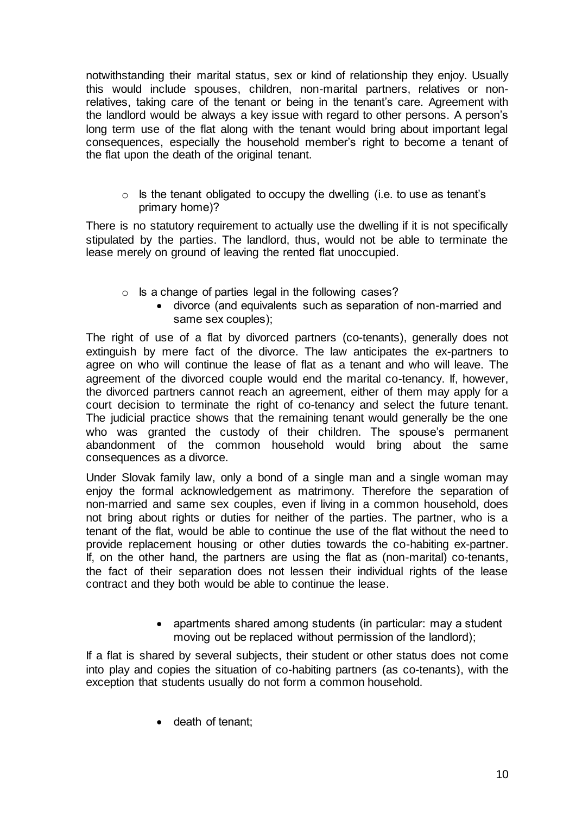notwithstanding their marital status, sex or kind of relationship they enjoy. Usually this would include spouses, children, non-marital partners, relatives or nonrelatives, taking care of the tenant or being in the tenant's care. Agreement with the landlord would be always a key issue with regard to other persons. A person's long term use of the flat along with the tenant would bring about important legal consequences, especially the household member's right to become a tenant of the flat upon the death of the original tenant.

 $\circ$  Is the tenant obligated to occupy the dwelling (i.e. to use as tenant's primary home)?

There is no statutory requirement to actually use the dwelling if it is not specifically stipulated by the parties. The landlord, thus, would not be able to terminate the lease merely on ground of leaving the rented flat unoccupied.

- $\circ$  Is a change of parties legal in the following cases?
	- divorce (and equivalents such as separation of non-married and same sex couples);

The right of use of a flat by divorced partners (co-tenants), generally does not extinguish by mere fact of the divorce. The law anticipates the ex-partners to agree on who will continue the lease of flat as a tenant and who will leave. The agreement of the divorced couple would end the marital co-tenancy. If, however, the divorced partners cannot reach an agreement, either of them may apply for a court decision to terminate the right of co-tenancy and select the future tenant. The judicial practice shows that the remaining tenant would generally be the one who was granted the custody of their children. The spouse's permanent abandonment of the common household would bring about the same consequences as a divorce.

Under Slovak family law, only a bond of a single man and a single woman may enjoy the formal acknowledgement as matrimony. Therefore the separation of non-married and same sex couples, even if living in a common household, does not bring about rights or duties for neither of the parties. The partner, who is a tenant of the flat, would be able to continue the use of the flat without the need to provide replacement housing or other duties towards the co-habiting ex-partner. If, on the other hand, the partners are using the flat as (non-marital) co-tenants, the fact of their separation does not lessen their individual rights of the lease contract and they both would be able to continue the lease.

> • apartments shared among students (in particular: may a student moving out be replaced without permission of the landlord);

If a flat is shared by several subjects, their student or other status does not come into play and copies the situation of co-habiting partners (as co-tenants), with the exception that students usually do not form a common household.

• death of tenant;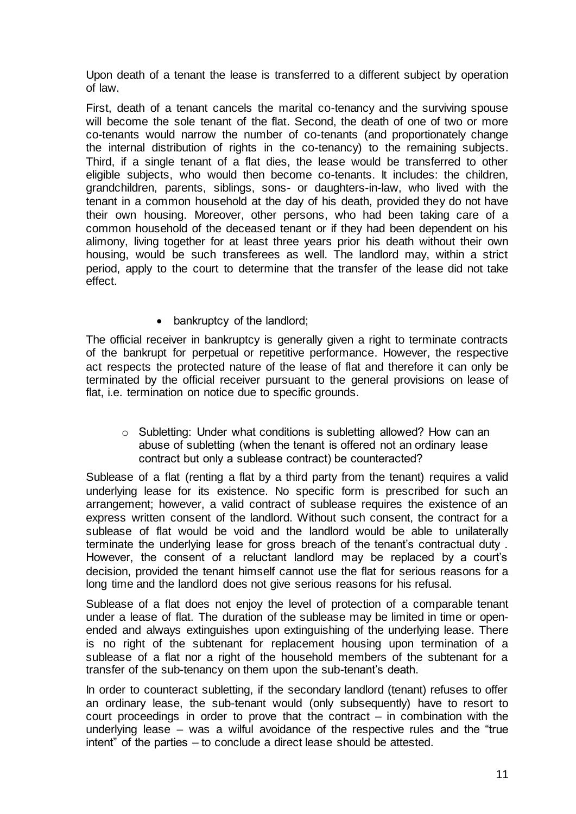Upon death of a tenant the lease is transferred to a different subject by operation of law.

First, death of a tenant cancels the marital co-tenancy and the surviving spouse will become the sole tenant of the flat. Second, the death of one of two or more co-tenants would narrow the number of co-tenants (and proportionately change the internal distribution of rights in the co-tenancy) to the remaining subjects. Third, if a single tenant of a flat dies, the lease would be transferred to other eligible subjects, who would then become co-tenants. It includes: the children, grandchildren, parents, siblings, sons- or daughters-in-law, who lived with the tenant in a common household at the day of his death, provided they do not have their own housing. Moreover, other persons, who had been taking care of a common household of the deceased tenant or if they had been dependent on his alimony, living together for at least three years prior his death without their own housing, would be such transferees as well. The landlord may, within a strict period, apply to the court to determine that the transfer of the lease did not take effect.

• bankruptcy of the landlord;

The official receiver in bankruptcy is generally given a right to terminate contracts of the bankrupt for perpetual or repetitive performance. However, the respective act respects the protected nature of the lease of flat and therefore it can only be terminated by the official receiver pursuant to the general provisions on lease of flat, i.e. termination on notice due to specific grounds.

o Subletting: Under what conditions is subletting allowed? How can an abuse of subletting (when the tenant is offered not an ordinary lease contract but only a sublease contract) be counteracted?

Sublease of a flat (renting a flat by a third party from the tenant) requires a valid underlying lease for its existence. No specific form is prescribed for such an arrangement; however, a valid contract of sublease requires the existence of an express written consent of the landlord. Without such consent, the contract for a sublease of flat would be void and the landlord would be able to unilaterally terminate the underlying lease for gross breach of the tenant's contractual duty . However, the consent of a reluctant landlord may be replaced by a court's decision, provided the tenant himself cannot use the flat for serious reasons for a long time and the landlord does not give serious reasons for his refusal.

Sublease of a flat does not enjoy the level of protection of a comparable tenant under a lease of flat. The duration of the sublease may be limited in time or openended and always extinguishes upon extinguishing of the underlying lease. There is no right of the subtenant for replacement housing upon termination of a sublease of a flat nor a right of the household members of the subtenant for a transfer of the sub-tenancy on them upon the sub-tenant's death.

In order to counteract subletting, if the secondary landlord (tenant) refuses to offer an ordinary lease, the sub-tenant would (only subsequently) have to resort to court proceedings in order to prove that the contract – in combination with the underlying lease – was a wilful avoidance of the respective rules and the "true intent" of the parties – to conclude a direct lease should be attested.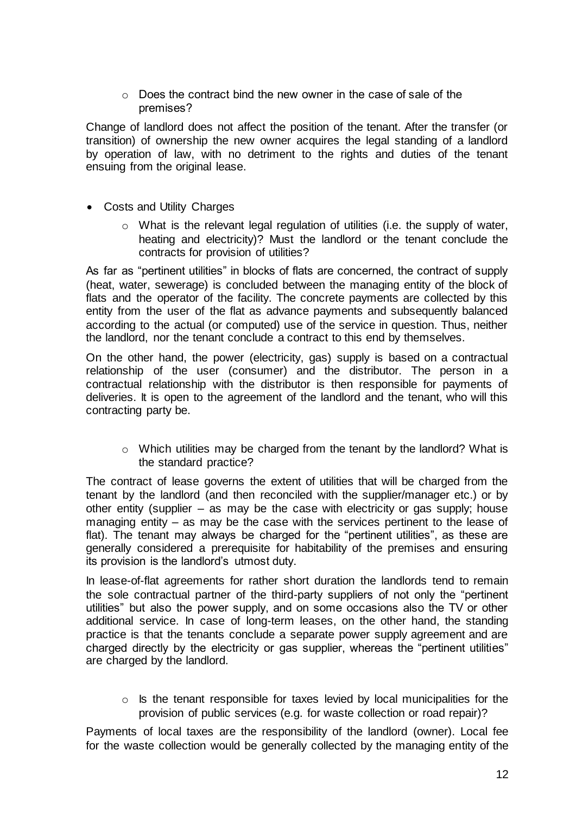$\circ$  Does the contract bind the new owner in the case of sale of the premises?

Change of landlord does not affect the position of the tenant. After the transfer (or transition) of ownership the new owner acquires the legal standing of a landlord by operation of law, with no detriment to the rights and duties of the tenant ensuing from the original lease.

- Costs and Utility Charges
	- o What is the relevant legal regulation of utilities (i.e. the supply of water, heating and electricity)? Must the landlord or the tenant conclude the contracts for provision of utilities?

As far as "pertinent utilities" in blocks of flats are concerned, the contract of supply (heat, water, sewerage) is concluded between the managing entity of the block of flats and the operator of the facility. The concrete payments are collected by this entity from the user of the flat as advance payments and subsequently balanced according to the actual (or computed) use of the service in question. Thus, neither the landlord, nor the tenant conclude a contract to this end by themselves.

On the other hand, the power (electricity, gas) supply is based on a contractual relationship of the user (consumer) and the distributor. The person in a contractual relationship with the distributor is then responsible for payments of deliveries. It is open to the agreement of the landlord and the tenant, who will this contracting party be.

o Which utilities may be charged from the tenant by the landlord? What is the standard practice?

The contract of lease governs the extent of utilities that will be charged from the tenant by the landlord (and then reconciled with the supplier/manager etc.) or by other entity (supplier – as may be the case with electricity or gas supply; house managing entity – as may be the case with the services pertinent to the lease of flat). The tenant may always be charged for the "pertinent utilities", as these are generally considered a prerequisite for habitability of the premises and ensuring its provision is the landlord's utmost duty.

In lease-of-flat agreements for rather short duration the landlords tend to remain the sole contractual partner of the third-party suppliers of not only the "pertinent utilities" but also the power supply, and on some occasions also the TV or other additional service. In case of long-term leases, on the other hand, the standing practice is that the tenants conclude a separate power supply agreement and are charged directly by the electricity or gas supplier, whereas the "pertinent utilities" are charged by the landlord.

o Is the tenant responsible for taxes levied by local municipalities for the provision of public services (e.g. for waste collection or road repair)?

Payments of local taxes are the responsibility of the landlord (owner). Local fee for the waste collection would be generally collected by the managing entity of the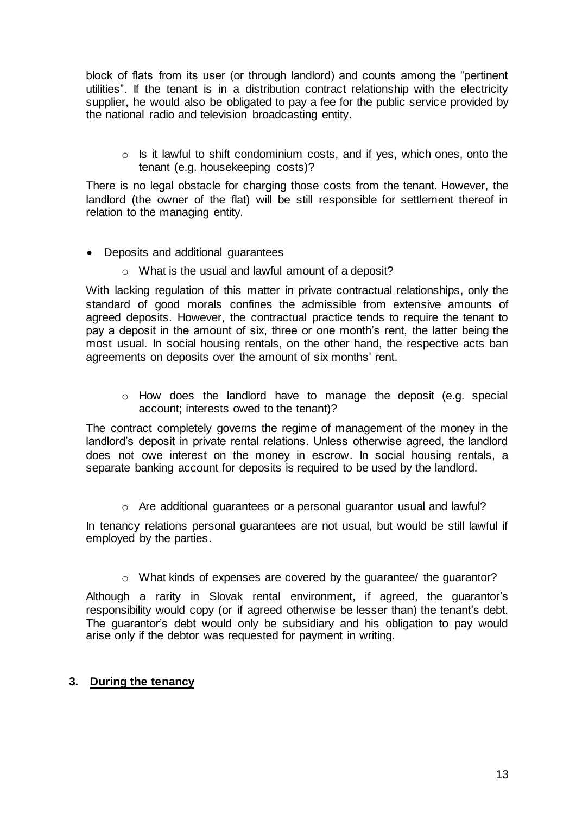block of flats from its user (or through landlord) and counts among the "pertinent utilities". If the tenant is in a distribution contract relationship with the electricity supplier, he would also be obligated to pay a fee for the public service provided by the national radio and television broadcasting entity.

o Is it lawful to shift condominium costs, and if yes, which ones, onto the tenant (e.g. housekeeping costs)?

There is no legal obstacle for charging those costs from the tenant. However, the landlord (the owner of the flat) will be still responsible for settlement thereof in relation to the managing entity.

- Deposits and additional guarantees
	- o What is the usual and lawful amount of a deposit?

With lacking regulation of this matter in private contractual relationships, only the standard of good morals confines the admissible from extensive amounts of agreed deposits. However, the contractual practice tends to require the tenant to pay a deposit in the amount of six, three or one month's rent, the latter being the most usual. In social housing rentals, on the other hand, the respective acts ban agreements on deposits over the amount of six months' rent.

o How does the landlord have to manage the deposit (e.g. special account; interests owed to the tenant)?

The contract completely governs the regime of management of the money in the landlord's deposit in private rental relations. Unless otherwise agreed, the landlord does not owe interest on the money in escrow. In social housing rentals, a separate banking account for deposits is required to be used by the landlord.

o Are additional guarantees or a personal guarantor usual and lawful?

In tenancy relations personal guarantees are not usual, but would be still lawful if employed by the parties.

o What kinds of expenses are covered by the guarantee/ the guarantor?

Although a rarity in Slovak rental environment, if agreed, the guarantor's responsibility would copy (or if agreed otherwise be lesser than) the tenant's debt. The guarantor's debt would only be subsidiary and his obligation to pay would arise only if the debtor was requested for payment in writing.

#### <span id="page-13-0"></span>**3. During the tenancy**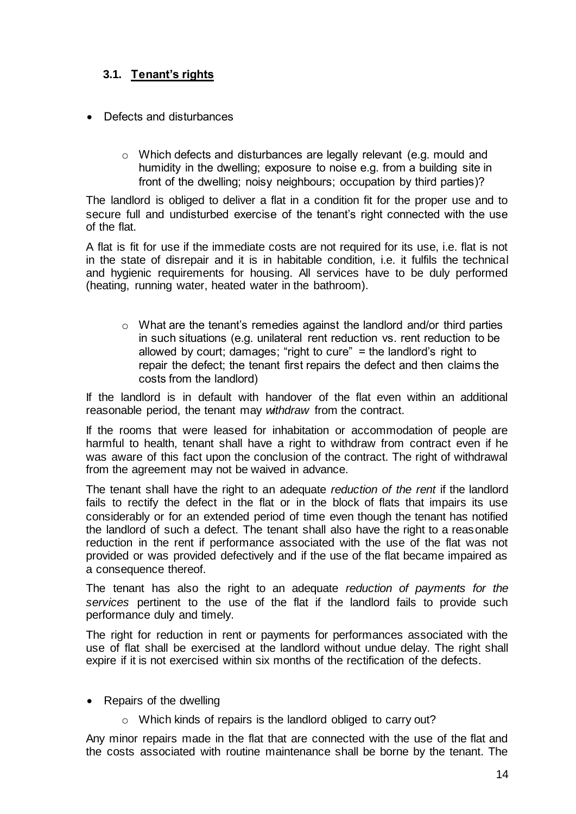# <span id="page-14-0"></span>**3.1. Tenant's rights**

- Defects and disturbances
	- o Which defects and disturbances are legally relevant (e.g. mould and humidity in the dwelling; exposure to noise e.g. from a building site in front of the dwelling; noisy neighbours; occupation by third parties)?

The landlord is obliged to deliver a flat in a condition fit for the proper use and to secure full and undisturbed exercise of the tenant's right connected with the use of the flat.

A flat is fit for use if the immediate costs are not required for its use, i.e. flat is not in the state of disrepair and it is in habitable condition, i.e. it fulfils the technical and hygienic requirements for housing. All services have to be duly performed (heating, running water, heated water in the bathroom).

o What are the tenant's remedies against the landlord and/or third parties in such situations (e.g. unilateral rent reduction vs. rent reduction to be allowed by court; damages; "right to cure" = the landlord's right to repair the defect; the tenant first repairs the defect and then claims the costs from the landlord)

If the landlord is in default with handover of the flat even within an additional reasonable period, the tenant may *withdraw* from the contract.

If the rooms that were leased for inhabitation or accommodation of people are harmful to health, tenant shall have a right to withdraw from contract even if he was aware of this fact upon the conclusion of the contract. The right of withdrawal from the agreement may not be waived in advance.

The tenant shall have the right to an adequate *reduction of the rent* if the landlord fails to rectify the defect in the flat or in the block of flats that impairs its use considerably or for an extended period of time even though the tenant has notified the landlord of such a defect. The tenant shall also have the right to a reasonable reduction in the rent if performance associated with the use of the flat was not provided or was provided defectively and if the use of the flat became impaired as a consequence thereof.

The tenant has also the right to an adequate *reduction of payments for the services* pertinent to the use of the flat if the landlord fails to provide such performance duly and timely.

The right for reduction in rent or payments for performances associated with the use of flat shall be exercised at the landlord without undue delay. The right shall expire if it is not exercised within six months of the rectification of the defects.

- Repairs of the dwelling
	- o Which kinds of repairs is the landlord obliged to carry out?

Any minor repairs made in the flat that are connected with the use of the flat and the costs associated with routine maintenance shall be borne by the tenant. The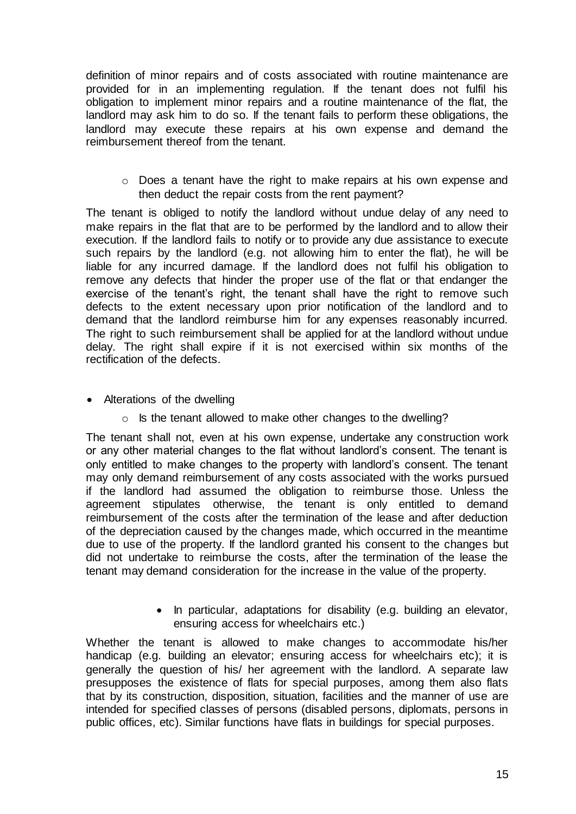definition of minor repairs and of costs associated with routine maintenance are provided for in an implementing regulation. If the tenant does not fulfil his obligation to implement minor repairs and a routine maintenance of the flat, the landlord may ask him to do so. If the tenant fails to perform these obligations, the landlord may execute these repairs at his own expense and demand the reimbursement thereof from the tenant.

o Does a tenant have the right to make repairs at his own expense and then deduct the repair costs from the rent payment?

The tenant is obliged to notify the landlord without undue delay of any need to make repairs in the flat that are to be performed by the landlord and to allow their execution. If the landlord fails to notify or to provide any due assistance to execute such repairs by the landlord (e.g. not allowing him to enter the flat), he will be liable for any incurred damage. If the landlord does not fulfil his obligation to remove any defects that hinder the proper use of the flat or that endanger the exercise of the tenant's right, the tenant shall have the right to remove such defects to the extent necessary upon prior notification of the landlord and to demand that the landlord reimburse him for any expenses reasonably incurred. The right to such reimbursement shall be applied for at the landlord without undue delay. The right shall expire if it is not exercised within six months of the rectification of the defects.

- Alterations of the dwelling
	- o Is the tenant allowed to make other changes to the dwelling?

The tenant shall not, even at his own expense, undertake any construction work or any other material changes to the flat without landlord's consent. The tenant is only entitled to make changes to the property with landlord's consent. The tenant may only demand reimbursement of any costs associated with the works pursued if the landlord had assumed the obligation to reimburse those. Unless the agreement stipulates otherwise, the tenant is only entitled to demand reimbursement of the costs after the termination of the lease and after deduction of the depreciation caused by the changes made, which occurred in the meantime due to use of the property. If the landlord granted his consent to the changes but did not undertake to reimburse the costs, after the termination of the lease the tenant may demand consideration for the increase in the value of the property.

> • In particular, adaptations for disability (e.g. building an elevator, ensuring access for wheelchairs etc.)

Whether the tenant is allowed to make changes to accommodate his/her handicap (e.g. building an elevator; ensuring access for wheelchairs etc); it is generally the question of his/ her agreement with the landlord. A separate law presupposes the existence of flats for special purposes, among them also flats that by its construction, disposition, situation, facilities and the manner of use are intended for specified classes of persons (disabled persons, diplomats, persons in public offices, etc). Similar functions have flats in buildings for special purposes.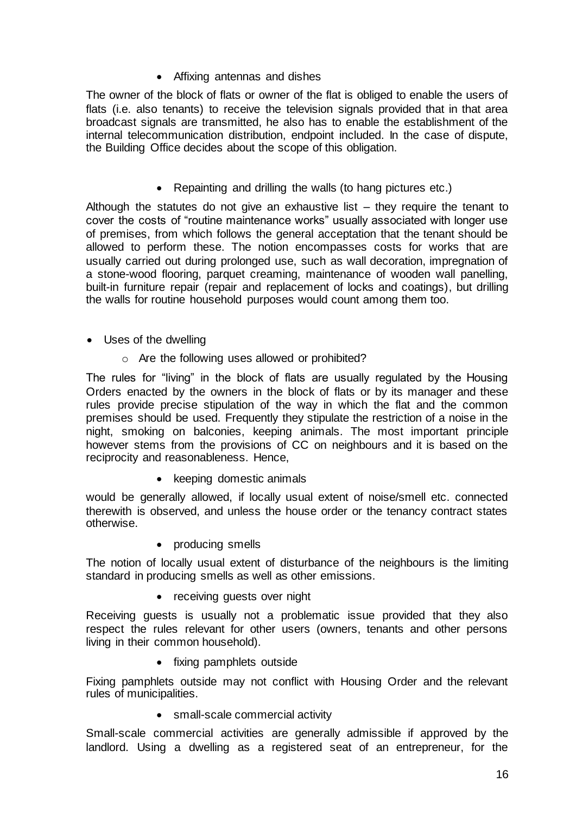• Affixing antennas and dishes

The owner of the block of flats or owner of the flat is obliged to enable the users of flats (i.e. also tenants) to receive the television signals provided that in that area broadcast signals are transmitted, he also has to enable the establishment of the internal telecommunication distribution, endpoint included. In the case of dispute, the Building Office decides about the scope of this obligation.

Repainting and drilling the walls (to hang pictures etc.)

Although the statutes do not give an exhaustive list – they require the tenant to cover the costs of "routine maintenance works" usually associated with longer use of premises, from which follows the general acceptation that the tenant should be allowed to perform these. The notion encompasses costs for works that are usually carried out during prolonged use, such as wall decoration, impregnation of a stone-wood flooring, parquet creaming, maintenance of wooden wall panelling, built-in furniture repair (repair and replacement of locks and coatings), but drilling the walls for routine household purposes would count among them too.

- Uses of the dwelling
	- o Are the following uses allowed or prohibited?

The rules for "living" in the block of flats are usually regulated by the Housing Orders enacted by the owners in the block of flats or by its manager and these rules provide precise stipulation of the way in which the flat and the common premises should be used. Frequently they stipulate the restriction of a noise in the night, smoking on balconies, keeping animals. The most important principle however stems from the provisions of CC on neighbours and it is based on the reciprocity and reasonableness. Hence,

• keeping domestic animals

would be generally allowed, if locally usual extent of noise/smell etc. connected therewith is observed, and unless the house order or the tenancy contract states otherwise.

• producing smells

The notion of locally usual extent of disturbance of the neighbours is the limiting standard in producing smells as well as other emissions.

• receiving guests over night

Receiving guests is usually not a problematic issue provided that they also respect the rules relevant for other users (owners, tenants and other persons living in their common household).

• fixing pamphlets outside

Fixing pamphlets outside may not conflict with Housing Order and the relevant rules of municipalities.

• small-scale commercial activity

Small-scale commercial activities are generally admissible if approved by the landlord. Using a dwelling as a registered seat of an entrepreneur, for the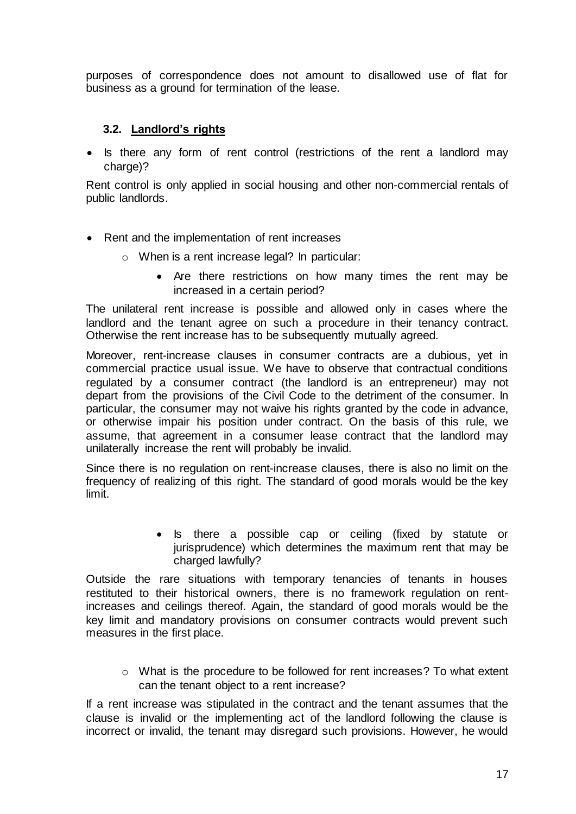purposes of correspondence does not amount to disallowed use of flat for business as a ground for termination of the lease.

#### **3.2. Landlord's rights**

<span id="page-17-0"></span>• Is there any form of rent control (restrictions of the rent a landlord may charge)?

Rent control is only applied in social housing and other non-commercial rentals of public landlords.

- Rent and the implementation of rent increases
	- o When is a rent increase legal? In particular:
		- Are there restrictions on how many times the rent may be increased in a certain period?

The unilateral rent increase is possible and allowed only in cases where the landlord and the tenant agree on such a procedure in their tenancy contract. Otherwise the rent increase has to be subsequently mutually agreed.

Moreover, rent-increase clauses in consumer contracts are a dubious, yet in commercial practice usual issue. We have to observe that contractual conditions regulated by a consumer contract (the landlord is an entrepreneur) may not depart from the provisions of the Civil Code to the detriment of the consumer. In particular, the consumer may not waive his rights granted by the code in advance, or otherwise impair his position under contract. On the basis of this rule, we assume, that agreement in a consumer lease contract that the landlord may unilaterally increase the rent will probably be invalid.

Since there is no regulation on rent-increase clauses, there is also no limit on the frequency of realizing of this right. The standard of good morals would be the key limit.

> • Is there a possible cap or ceiling (fixed by statute or jurisprudence) which determines the maximum rent that may be charged lawfully?

Outside the rare situations with temporary tenancies of tenants in houses restituted to their historical owners, there is no framework regulation on rentincreases and ceilings thereof. Again, the standard of good morals would be the key limit and mandatory provisions on consumer contracts would prevent such measures in the first place.

o What is the procedure to be followed for rent increases? To what extent can the tenant object to a rent increase?

If a rent increase was stipulated in the contract and the tenant assumes that the clause is invalid or the implementing act of the landlord following the clause is incorrect or invalid, the tenant may disregard such provisions. However, he would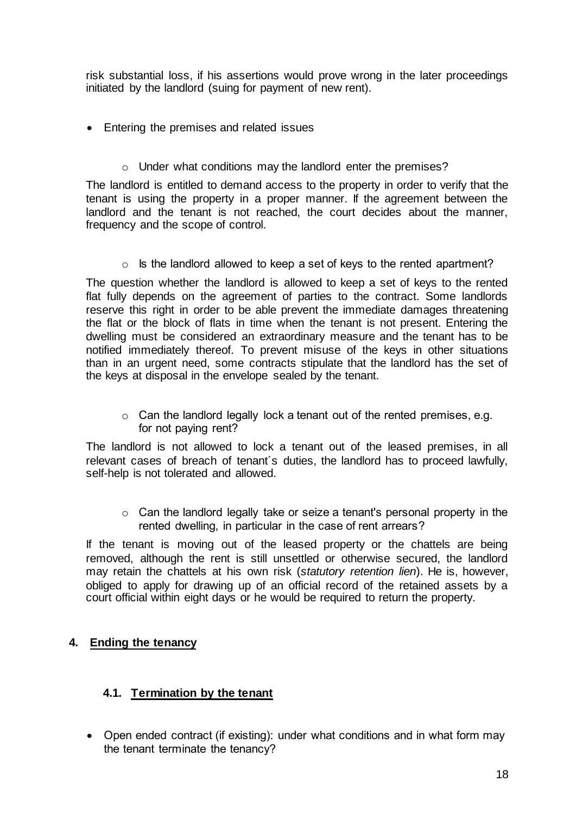risk substantial loss, if his assertions would prove wrong in the later proceedings initiated by the landlord (suing for payment of new rent).

- Entering the premises and related issues
	- o Under what conditions may the landlord enter the premises?

The landlord is entitled to demand access to the property in order to verify that the tenant is using the property in a proper manner. If the agreement between the landlord and the tenant is not reached, the court decides about the manner, frequency and the scope of control.

 $\circ$  Is the landlord allowed to keep a set of keys to the rented apartment?

The question whether the landlord is allowed to keep a set of keys to the rented flat fully depends on the agreement of parties to the contract. Some landlords reserve this right in order to be able prevent the immediate damages threatening the flat or the block of flats in time when the tenant is not present. Entering the dwelling must be considered an extraordinary measure and the tenant has to be notified immediately thereof. To prevent misuse of the keys in other situations than in an urgent need, some contracts stipulate that the landlord has the set of the keys at disposal in the envelope sealed by the tenant.

o Can the landlord legally lock a tenant out of the rented premises, e.g. for not paying rent?

The landlord is not allowed to lock a tenant out of the leased premises, in all relevant cases of breach of tenant´s duties, the landlord has to proceed lawfully, self-help is not tolerated and allowed.

o Can the landlord legally take or seize a tenant's personal property in the rented dwelling, in particular in the case of rent arrears?

If the tenant is moving out of the leased property or the chattels are being removed, although the rent is still unsettled or otherwise secured, the landlord may retain the chattels at his own risk (*statutory retention lien*). He is, however, obliged to apply for drawing up of an official record of the retained assets by a court official within eight days or he would be required to return the property.

## <span id="page-18-0"></span>**4. Ending the tenancy**

## <span id="page-18-1"></span>**4.1. Termination by the tenant**

 Open ended contract (if existing): under what conditions and in what form may the tenant terminate the tenancy?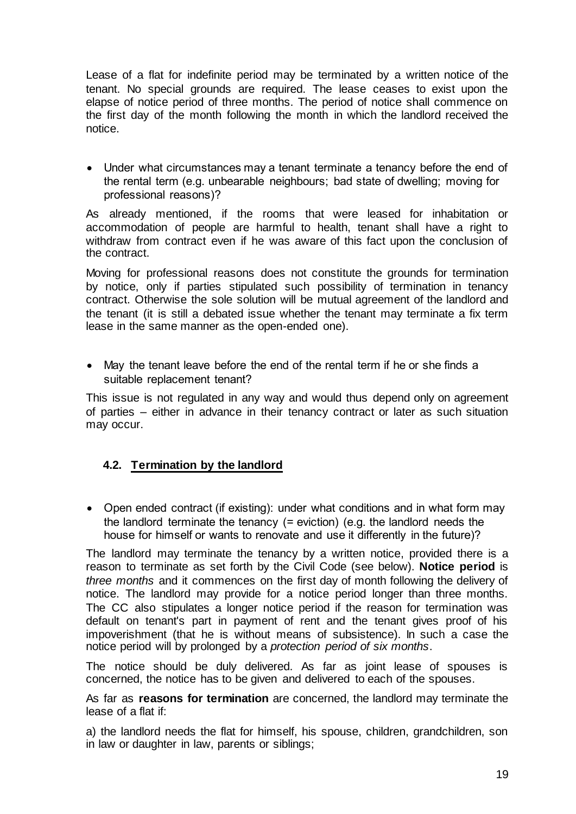Lease of a flat for indefinite period may be terminated by a written notice of the tenant. No special grounds are required. The lease ceases to exist upon the elapse of notice period of three months. The period of notice shall commence on the first day of the month following the month in which the landlord received the notice.

 Under what circumstances may a tenant terminate a tenancy before the end of the rental term (e.g. unbearable neighbours; bad state of dwelling; moving for professional reasons)?

As already mentioned, if the rooms that were leased for inhabitation or accommodation of people are harmful to health, tenant shall have a right to withdraw from contract even if he was aware of this fact upon the conclusion of the contract.

Moving for professional reasons does not constitute the grounds for termination by notice, only if parties stipulated such possibility of termination in tenancy contract. Otherwise the sole solution will be mutual agreement of the landlord and the tenant (it is still a debated issue whether the tenant may terminate a fix term lease in the same manner as the open-ended one).

 May the tenant leave before the end of the rental term if he or she finds a suitable replacement tenant?

This issue is not regulated in any way and would thus depend only on agreement of parties – either in advance in their tenancy contract or later as such situation may occur.

## <span id="page-19-0"></span>**4.2. Termination by the landlord**

• Open ended contract (if existing): under what conditions and in what form may the landlord terminate the tenancy (= eviction) (e.g. the landlord needs the house for himself or wants to renovate and use it differently in the future)?

The landlord may terminate the tenancy by a written notice, provided there is a reason to terminate as set forth by the Civil Code (see below). **Notice period** is *three months* and it commences on the first day of month following the delivery of notice. The landlord may provide for a notice period longer than three months. The CC also stipulates a longer notice period if the reason for termination was default on tenant's part in payment of rent and the tenant gives proof of his impoverishment (that he is without means of subsistence). In such a case the notice period will by prolonged by a *protection period of six months*.

The notice should be duly delivered. As far as joint lease of spouses is concerned, the notice has to be given and delivered to each of the spouses.

As far as **reasons for termination** are concerned, the landlord may terminate the lease of a flat if:

a) the landlord needs the flat for himself, his spouse, children, grandchildren, son in law or daughter in law, parents or siblings;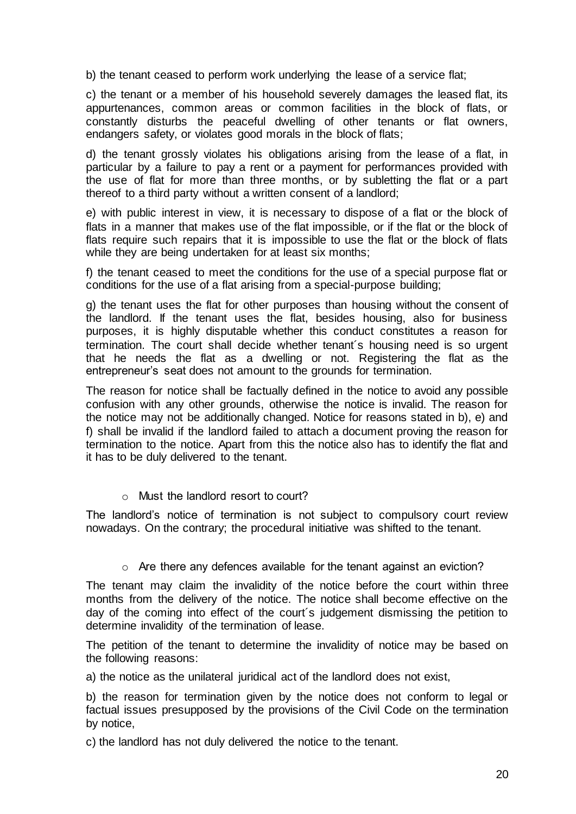b) the tenant ceased to perform work underlying the lease of a service flat;

c) the tenant or a member of his household severely damages the leased flat, its appurtenances, common areas or common facilities in the block of flats, or constantly disturbs the peaceful dwelling of other tenants or flat owners, endangers safety, or violates good morals in the block of flats;

d) the tenant grossly violates his obligations arising from the lease of a flat, in particular by a failure to pay a rent or a payment for performances provided with the use of flat for more than three months, or by subletting the flat or a part thereof to a third party without a written consent of a landlord;

e) with public interest in view, it is necessary to dispose of a flat or the block of flats in a manner that makes use of the flat impossible, or if the flat or the block of flats require such repairs that it is impossible to use the flat or the block of flats while they are being undertaken for at least six months;

f) the tenant ceased to meet the conditions for the use of a special purpose flat or conditions for the use of a flat arising from a special-purpose building;

g) the tenant uses the flat for other purposes than housing without the consent of the landlord. If the tenant uses the flat, besides housing, also for business purposes, it is highly disputable whether this conduct constitutes a reason for termination. The court shall decide whether tenant´s housing need is so urgent that he needs the flat as a dwelling or not. Registering the flat as the entrepreneur's seat does not amount to the grounds for termination.

The reason for notice shall be factually defined in the notice to avoid any possible confusion with any other grounds, otherwise the notice is invalid. The reason for the notice may not be additionally changed. Notice for reasons stated in b), e) and f) shall be invalid if the landlord failed to attach a document proving the reason for termination to the notice. Apart from this the notice also has to identify the flat and it has to be duly delivered to the tenant.

o Must the landlord resort to court?

The landlord's notice of termination is not subject to compulsory court review nowadays. On the contrary; the procedural initiative was shifted to the tenant.

 $\circ$  Are there any defences available for the tenant against an eviction?

The tenant may claim the invalidity of the notice before the court within three months from the delivery of the notice. The notice shall become effective on the day of the coming into effect of the court´s judgement dismissing the petition to determine invalidity of the termination of lease.

The petition of the tenant to determine the invalidity of notice may be based on the following reasons:

a) the notice as the unilateral juridical act of the landlord does not exist,

b) the reason for termination given by the notice does not conform to legal or factual issues presupposed by the provisions of the Civil Code on the termination by notice,

c) the landlord has not duly delivered the notice to the tenant.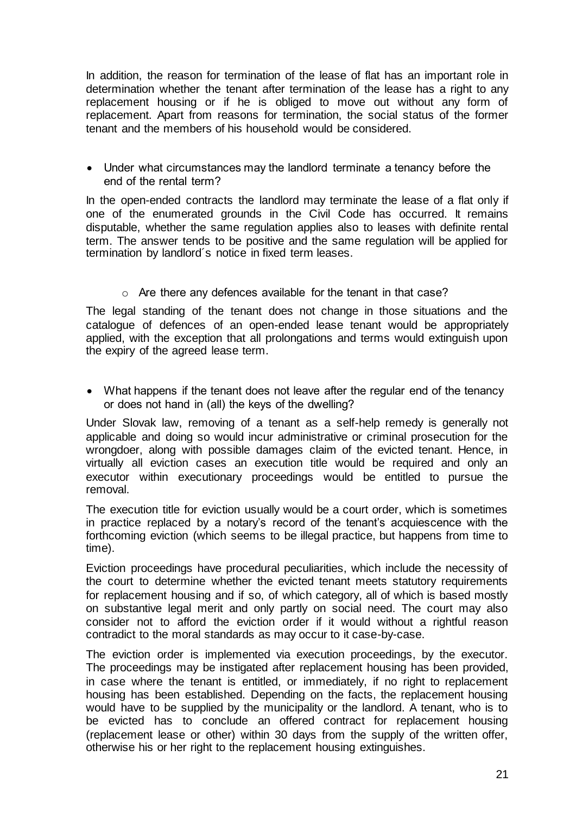In addition, the reason for termination of the lease of flat has an important role in determination whether the tenant after termination of the lease has a right to any replacement housing or if he is obliged to move out without any form of replacement. Apart from reasons for termination, the social status of the former tenant and the members of his household would be considered.

 Under what circumstances may the landlord terminate a tenancy before the end of the rental term?

In the open-ended contracts the landlord may terminate the lease of a flat only if one of the enumerated grounds in the Civil Code has occurred. It remains disputable, whether the same regulation applies also to leases with definite rental term. The answer tends to be positive and the same regulation will be applied for termination by landlord´s notice in fixed term leases.

o Are there any defences available for the tenant in that case?

The legal standing of the tenant does not change in those situations and the catalogue of defences of an open-ended lease tenant would be appropriately applied, with the exception that all prolongations and terms would extinguish upon the expiry of the agreed lease term.

• What happens if the tenant does not leave after the regular end of the tenancy or does not hand in (all) the keys of the dwelling?

Under Slovak law, removing of a tenant as a self-help remedy is generally not applicable and doing so would incur administrative or criminal prosecution for the wrongdoer, along with possible damages claim of the evicted tenant. Hence, in virtually all eviction cases an execution title would be required and only an executor within executionary proceedings would be entitled to pursue the removal.

The execution title for eviction usually would be a court order, which is sometimes in practice replaced by a notary's record of the tenant's acquiescence with the forthcoming eviction (which seems to be illegal practice, but happens from time to time).

Eviction proceedings have procedural peculiarities, which include the necessity of the court to determine whether the evicted tenant meets statutory requirements for replacement housing and if so, of which category, all of which is based mostly on substantive legal merit and only partly on social need. The court may also consider not to afford the eviction order if it would without a rightful reason contradict to the moral standards as may occur to it case-by-case.

The eviction order is implemented via execution proceedings, by the executor. The proceedings may be instigated after replacement housing has been provided, in case where the tenant is entitled, or immediately, if no right to replacement housing has been established. Depending on the facts, the replacement housing would have to be supplied by the municipality or the landlord. A tenant, who is to be evicted has to conclude an offered contract for replacement housing (replacement lease or other) within 30 days from the supply of the written offer, otherwise his or her right to the replacement housing extinguishes.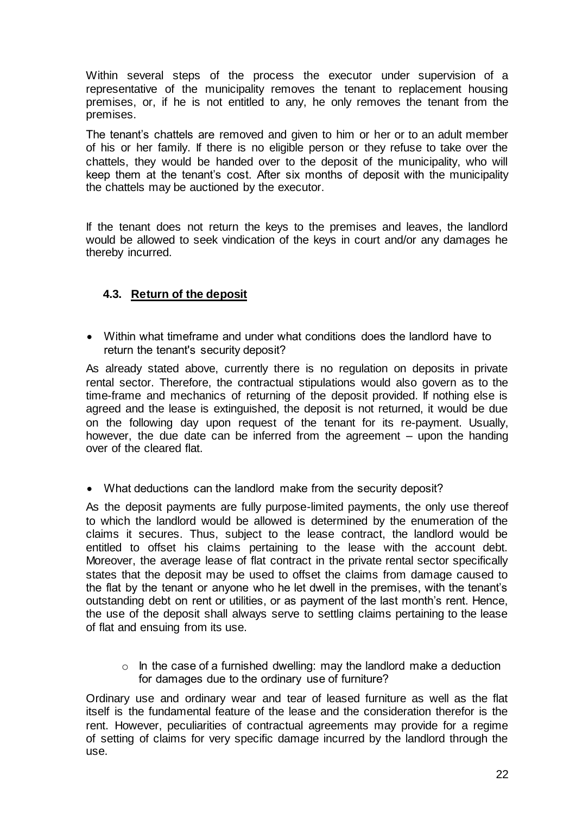Within several steps of the process the executor under supervision of a representative of the municipality removes the tenant to replacement housing premises, or, if he is not entitled to any, he only removes the tenant from the premises.

The tenant's chattels are removed and given to him or her or to an adult member of his or her family. If there is no eligible person or they refuse to take over the chattels, they would be handed over to the deposit of the municipality, who will keep them at the tenant's cost. After six months of deposit with the municipality the chattels may be auctioned by the executor.

If the tenant does not return the keys to the premises and leaves, the landlord would be allowed to seek vindication of the keys in court and/or any damages he thereby incurred.

## <span id="page-22-0"></span>**4.3. Return of the deposit**

 Within what timeframe and under what conditions does the landlord have to return the tenant's security deposit?

As already stated above, currently there is no regulation on deposits in private rental sector. Therefore, the contractual stipulations would also govern as to the time-frame and mechanics of returning of the deposit provided. If nothing else is agreed and the lease is extinguished, the deposit is not returned, it would be due on the following day upon request of the tenant for its re-payment. Usually, however, the due date can be inferred from the agreement – upon the handing over of the cleared flat.

What deductions can the landlord make from the security deposit?

As the deposit payments are fully purpose-limited payments, the only use thereof to which the landlord would be allowed is determined by the enumeration of the claims it secures. Thus, subject to the lease contract, the landlord would be entitled to offset his claims pertaining to the lease with the account debt. Moreover, the average lease of flat contract in the private rental sector specifically states that the deposit may be used to offset the claims from damage caused to the flat by the tenant or anyone who he let dwell in the premises, with the tenant's outstanding debt on rent or utilities, or as payment of the last month's rent. Hence, the use of the deposit shall always serve to settling claims pertaining to the lease of flat and ensuing from its use.

 $\circ$  In the case of a furnished dwelling: may the landlord make a deduction for damages due to the ordinary use of furniture?

Ordinary use and ordinary wear and tear of leased furniture as well as the flat itself is the fundamental feature of the lease and the consideration therefor is the rent. However, peculiarities of contractual agreements may provide for a regime of setting of claims for very specific damage incurred by the landlord through the use.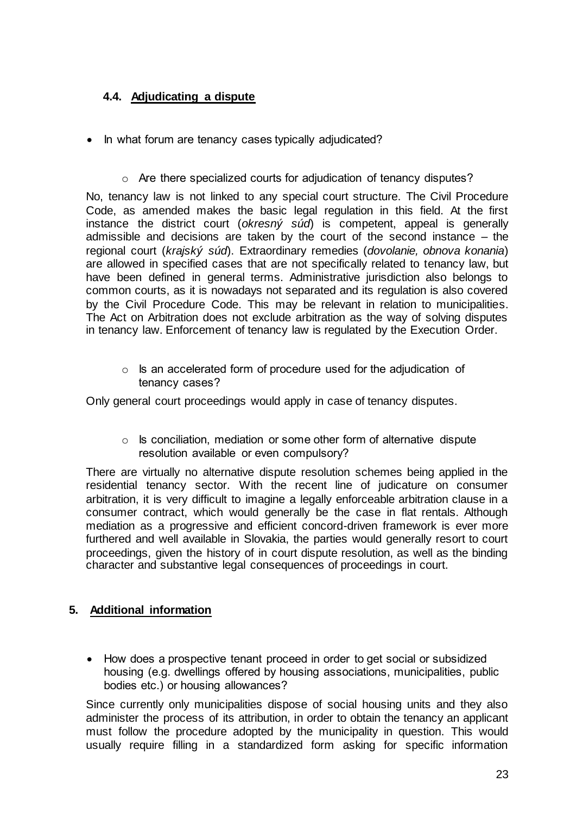# <span id="page-23-0"></span>**4.4. Adjudicating a dispute**

- In what forum are tenancy cases typically adjudicated?
	- o Are there specialized courts for adjudication of tenancy disputes?

No, tenancy law is not linked to any special court structure. The Civil Procedure Code, as amended makes the basic legal regulation in this field. At the first instance the district court (*okresný súd*) is competent, appeal is generally admissible and decisions are taken by the court of the second instance – the regional court (*krajský súd*). Extraordinary remedies (*dovolanie, obnova konania*) are allowed in specified cases that are not specifically related to tenancy law, but have been defined in general terms. Administrative jurisdiction also belongs to common courts, as it is nowadays not separated and its regulation is also covered by the Civil Procedure Code. This may be relevant in relation to municipalities. The Act on Arbitration does not exclude arbitration as the way of solving disputes in tenancy law. Enforcement of tenancy law is regulated by the Execution Order.

o Is an accelerated form of procedure used for the adjudication of tenancy cases?

Only general court proceedings would apply in case of tenancy disputes.

 $\circ$  Is conciliation, mediation or some other form of alternative dispute resolution available or even compulsory?

There are virtually no alternative dispute resolution schemes being applied in the residential tenancy sector. With the recent line of judicature on consumer arbitration, it is very difficult to imagine a legally enforceable arbitration clause in a consumer contract, which would generally be the case in flat rentals. Although mediation as a progressive and efficient concord-driven framework is ever more furthered and well available in Slovakia, the parties would generally resort to court proceedings, given the history of in court dispute resolution, as well as the binding character and substantive legal consequences of proceedings in court.

#### <span id="page-23-1"></span>**5. Additional information**

 How does a prospective tenant proceed in order to get social or subsidized housing (e.g. dwellings offered by housing associations, municipalities, public bodies etc.) or housing allowances?

Since currently only municipalities dispose of social housing units and they also administer the process of its attribution, in order to obtain the tenancy an applicant must follow the procedure adopted by the municipality in question. This would usually require filling in a standardized form asking for specific information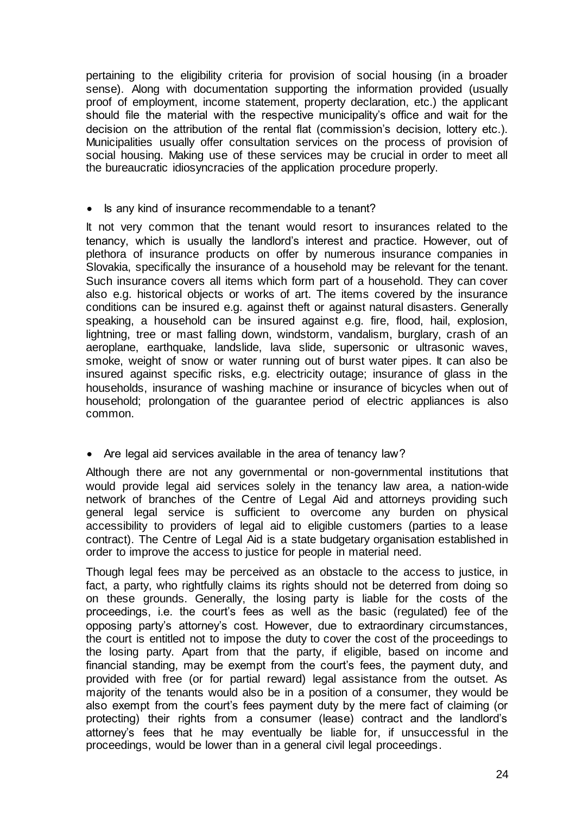pertaining to the eligibility criteria for provision of social housing (in a broader sense). Along with documentation supporting the information provided (usually proof of employment, income statement, property declaration, etc.) the applicant should file the material with the respective municipality's office and wait for the decision on the attribution of the rental flat (commission's decision, lottery etc.). Municipalities usually offer consultation services on the process of provision of social housing. Making use of these services may be crucial in order to meet all the bureaucratic idiosyncracies of the application procedure properly.

• Is any kind of insurance recommendable to a tenant?

It not very common that the tenant would resort to insurances related to the tenancy, which is usually the landlord's interest and practice. However, out of plethora of insurance products on offer by numerous insurance companies in Slovakia, specifically the insurance of a household may be relevant for the tenant. Such insurance covers all items which form part of a household. They can cover also e.g. historical objects or works of art. The items covered by the insurance conditions can be insured e.g. against theft or against natural disasters. Generally speaking, a household can be insured against e.g. fire, flood, hail, explosion, lightning, tree or mast falling down, windstorm, vandalism, burglary, crash of an aeroplane, earthquake, landslide, lava slide, supersonic or ultrasonic waves, smoke, weight of snow or water running out of burst water pipes. It can also be insured against specific risks, e.g. electricity outage; insurance of glass in the households, insurance of washing machine or insurance of bicycles when out of household; prolongation of the guarantee period of electric appliances is also common.

• Are legal aid services available in the area of tenancy law?

Although there are not any governmental or non-governmental institutions that would provide legal aid services solely in the tenancy law area, a nation-wide network of branches of the Centre of Legal Aid and attorneys providing such general legal service is sufficient to overcome any burden on physical accessibility to providers of legal aid to eligible customers (parties to a lease contract). The Centre of Legal Aid is a state budgetary organisation established in order to improve the access to justice for people in material need.

Though legal fees may be perceived as an obstacle to the access to justice, in fact, a party, who rightfully claims its rights should not be deterred from doing so on these grounds. Generally, the losing party is liable for the costs of the proceedings, i.e. the court's fees as well as the basic (regulated) fee of the opposing party's attorney's cost. However, due to extraordinary circumstances, the court is entitled not to impose the duty to cover the cost of the proceedings to the losing party. Apart from that the party, if eligible, based on income and financial standing, may be exempt from the court's fees, the payment duty, and provided with free (or for partial reward) legal assistance from the outset. As majority of the tenants would also be in a position of a consumer, they would be also exempt from the court's fees payment duty by the mere fact of claiming (or protecting) their rights from a consumer (lease) contract and the landlord's attorney's fees that he may eventually be liable for, if unsuccessful in the proceedings, would be lower than in a general civil legal proceedings.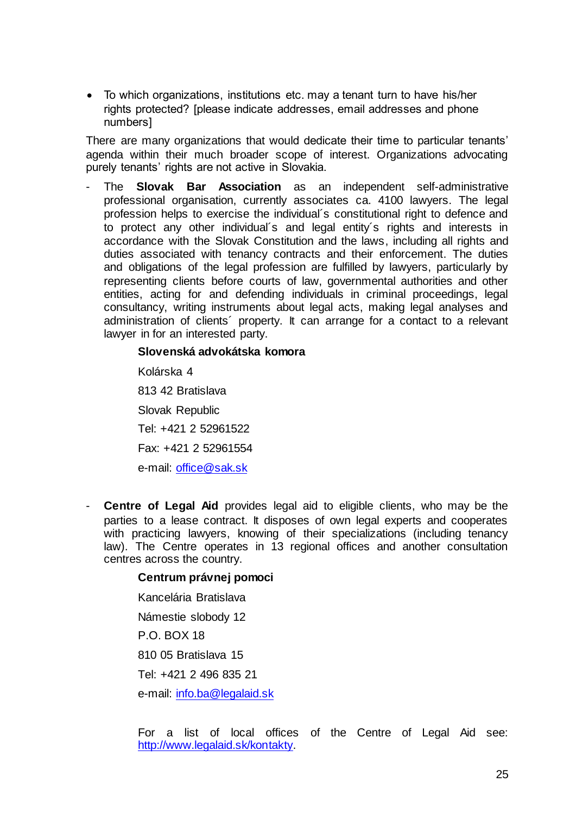To which organizations, institutions etc. may a tenant turn to have his/her rights protected? [please indicate addresses, email addresses and phone numbers]

There are many organizations that would dedicate their time to particular tenants' agenda within their much broader scope of interest. Organizations advocating purely tenants' rights are not active in Slovakia.

- The **Slovak Bar Association** as an independent self-administrative professional organisation, currently associates ca. 4100 lawyers. The legal profession helps to exercise the individual´s constitutional right to defence and to protect any other individual´s and legal entity´s rights and interests in accordance with the Slovak Constitution and the laws, including all rights and duties associated with tenancy contracts and their enforcement. The duties and obligations of the legal profession are fulfilled by lawyers, particularly by representing clients before courts of law, governmental authorities and other entities, acting for and defending individuals in criminal proceedings, legal consultancy, writing instruments about legal acts, making legal analyses and administration of clients´ property. It can arrange for a contact to a relevant lawyer in for an interested party.

#### **Slovenská advokátska komora**

Kolárska 4 813 42 Bratislava Slovak Republic Tel: +421 2 52961522 Fax: +421 2 52961554 e-mail: [office@sak.sk](mailto:office@sak.sk)

- **Centre of Legal Aid** provides legal aid to eligible clients, who may be the parties to a lease contract. It disposes of own legal experts and cooperates with practicing lawyers, knowing of their specializations (including tenancy law). The Centre operates in 13 regional offices and another consultation centres across the country.

#### **Centrum právnej pomoci**

Kancelária Bratislava Námestie slobody 12 P.O. BOX 18 810 05 Bratislava 15 Tel: +421 2 496 835 21 e-mail: [info.ba@legalaid.sk](mailto:info.ba@legalaid.sk)

For a list of local offices of the Centre of Legal Aid see: [http://www.legalaid.sk/kontakty.](http://www.legalaid.sk/kontakty)